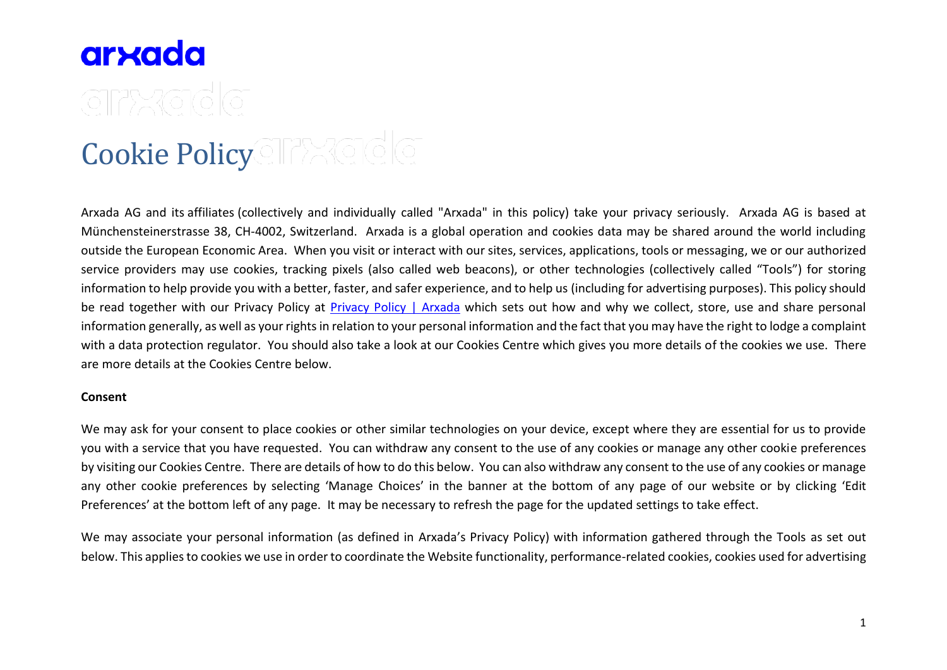# Cookie Polic[y](https://www.arxada.com/)

Arxada AG and its affiliates (collectively and individually called "Arxada" in this policy) take your privacy seriously. Arxada AG is based at Münchensteinerstrasse 38, CH-4002, Switzerland. Arxada is a global operation and cookies data may be shared around the world including outside the European Economic Area. When you visit or interact with our sites, services, applications, tools or messaging, we or our authorized service providers may use cookies, tracking pixels (also called web beacons), or other technologies (collectively called "Tools") for storing information to help provide you with a better, faster, and safer experience, and to help us (including for advertising purposes). This policy should be read together with our Privacy Policy at [Privacy Policy | Arxada](https://www.arxada.com/Policy/privacy-policy) which sets out how and why we collect, store, use and share personal information generally, as well as your rights in relation to your personal information and the fact that you may have the right to lodge a complaint with a data protection regulator. You should also take a look at our Cookies Centre which gives you more details of the cookies we use. There are more details at the Cookies Centre below.

#### **Consent**

We may ask for your consent to place cookies or other similar technologies on your device, except where they are essential for us to provide you with a service that you have requested. You can withdraw any consent to the use of any cookies or manage any other cookie preferences by visiting our Cookies Centre. There are details of how to do this below. You can also withdraw any consent to the use of any cookies or manage any other cookie preferences by selecting 'Manage Choices' in the banner at the bottom of any page of our website or by clicking 'Edit Preferences' at the bottom left of any page. It may be necessary to refresh the page for the updated settings to take effect.

We may associate your personal information (as defined in Arxada's Privacy Policy) with information gathered through the Tools as set out below. This applies to cookies we use in order to coordinate the Website functionality, performance-related cookies, cookies used for advertising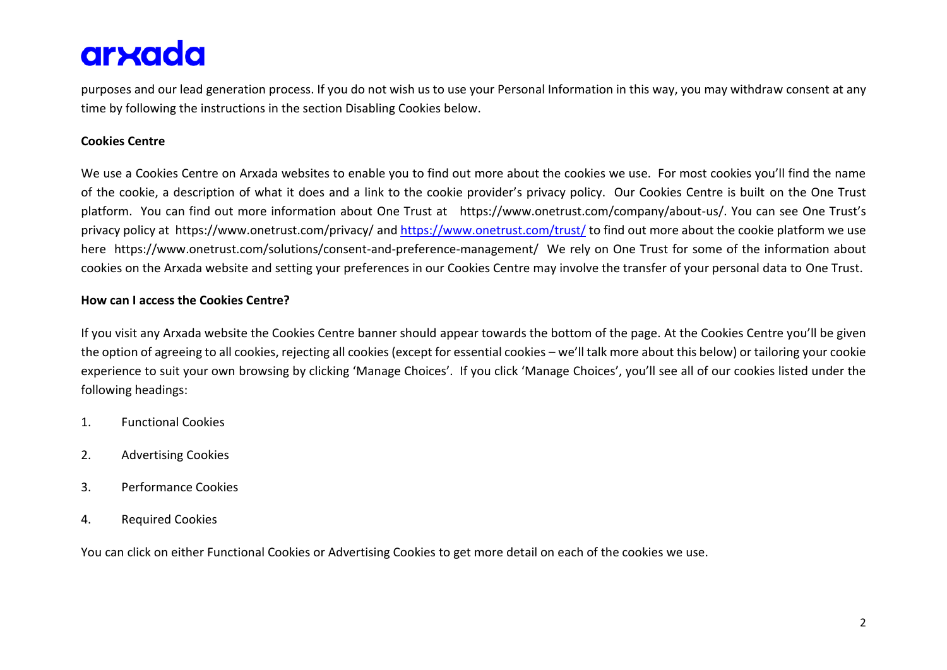purposes and our lead generation process. If you do not wish us to use your Personal Information in this way, you may withdraw consent at any time by following the instructions in the section Disabling Cookies below.

# **Cookies Centre**

We use a Cookies Centre on Arxada websites to enable you to find out more about the cookies we use. For most cookies you'll find the name of the cookie, a description of what it does and a link to the cookie provider's privacy policy. Our Cookies Centre is built on the One Trust platform. You can find out more information about One Trust at https://www.onetrust.com/company/about-us/. You can see One Trust's privacy policy at https://www.onetrust.com/privacy/ and<https://www.onetrust.com/trust/> to find out more about the cookie platform we use here https://www.onetrust.com/solutions/consent-and-preference-management/ We rely on One Trust for some of the information about cookies on the Arxada website and setting your preferences in our Cookies Centre may involve the transfer of your personal data to One Trust.

### **How can I access the Cookies Centre?**

If you visit any Arxada website the Cookies Centre banner should appear towards the bottom of the page. At the Cookies Centre you'll be given the option of agreeing to all cookies, rejecting all cookies (except for essential cookies – we'll talk more about this below) or tailoring your cookie experience to suit your own browsing by clicking 'Manage Choices'. If you click 'Manage Choices', you'll see all of our cookies listed under the following headings:

- 1. Functional Cookies
- 2. Advertising Cookies
- 3. Performance Cookies
- 4. Required Cookies

You can click on either Functional Cookies or Advertising Cookies to get more detail on each of the cookies we use.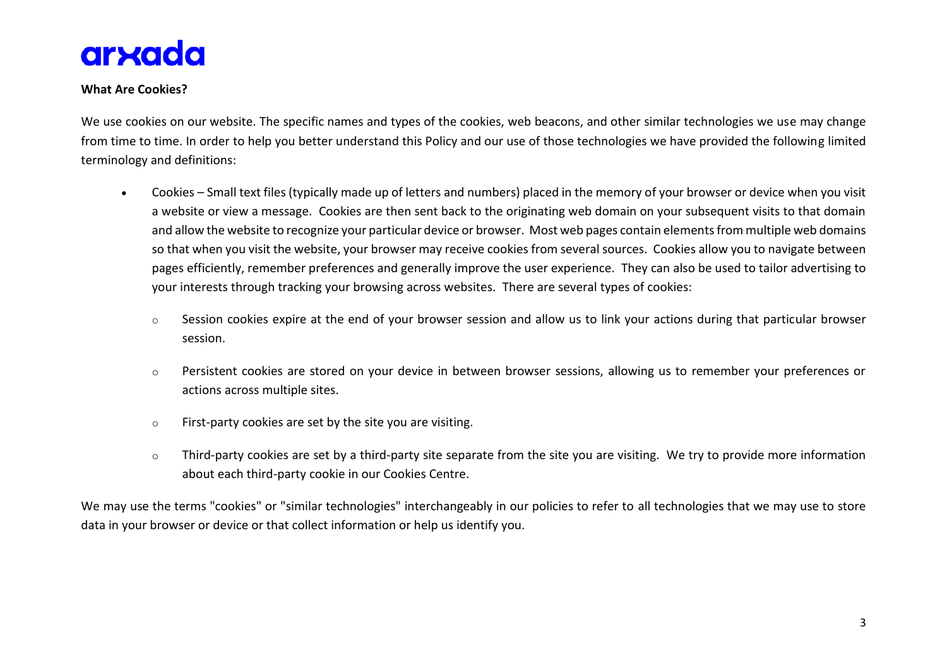

### **What Are Cookies?**

We use cookies on our website. The specific names and types of the cookies, web beacons, and other similar technologies we use may change from time to time. In order to help you better understand this Policy and our use of those technologies we have provided the following limited terminology and definitions:

- Cookies Small text files (typically made up of letters and numbers) placed in the memory of your browser or device when you visit a website or view a message. Cookies are then sent back to the originating web domain on your subsequent visits to that domain and allow the website to recognize your particular device or browser. Most web pages contain elements from multiple web domains so that when you visit the website, your browser may receive cookies from several sources. Cookies allow you to navigate between pages efficiently, remember preferences and generally improve the user experience. They can also be used to tailor advertising to your interests through tracking your browsing across websites. There are several types of cookies:
	- o Session cookies expire at the end of your browser session and allow us to link your actions during that particular browser session.
	- $\circ$  Persistent cookies are stored on your device in between browser sessions, allowing us to remember your preferences or actions across multiple sites.
	- o First-party cookies are set by the site you are visiting.
	- o Third-party cookies are set by a third-party site separate from the site you are visiting. We try to provide more information about each third-party cookie in our Cookies Centre.

We may use the terms "cookies" or "similar technologies" interchangeably in our policies to refer to all technologies that we may use to store data in your browser or device or that collect information or help us identify you.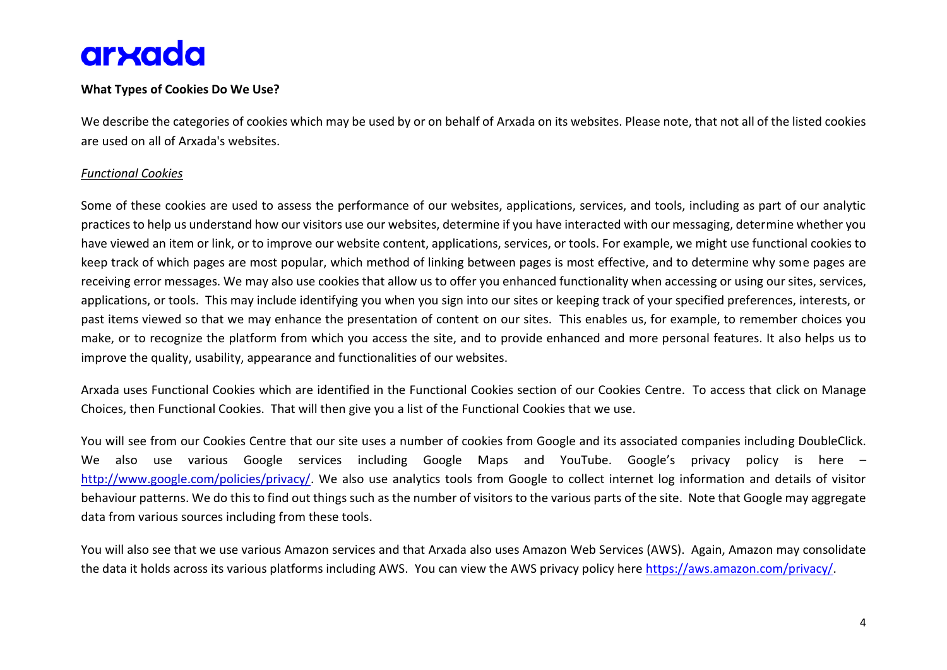## **What Types of Cookies Do We Use?**

We describe the categories of cookies which may be used by or on behalf of Arxada on its websites. Please note, that not all of the listed cookies are used on all of Arxada's websites.

#### *Functional Cookies*

Some of these cookies are used to assess the performance of our websites, applications, services, and tools, including as part of our analytic practices to help us understand how our visitors use our websites, determine if you have interacted with our messaging, determine whether you have viewed an item or link, or to improve our website content, applications, services, or tools. For example, we might use functional cookies to keep track of which pages are most popular, which method of linking between pages is most effective, and to determine why some pages are receiving error messages. We may also use cookies that allow us to offer you enhanced functionality when accessing or using our sites, services, applications, or tools. This may include identifying you when you sign into our sites or keeping track of your specified preferences, interests, or past items viewed so that we may enhance the presentation of content on our sites. This enables us, for example, to remember choices you make, or to recognize the platform from which you access the site, and to provide enhanced and more personal features. It also helps us to improve the quality, usability, appearance and functionalities of our websites.

Arxada uses Functional Cookies which are identified in the Functional Cookies section of our Cookies Centre. To access that click on Manage Choices, then Functional Cookies. That will then give you a list of the Functional Cookies that we use.

You will see from our Cookies Centre that our site uses a number of cookies from Google and its associated companies including DoubleClick. We also use various Google services including Google Maps and YouTube. Google's privacy policy is here – [http://www.google.com/policies/privacy/.](http://www.google.com/policies/privacy/) We also use analytics tools from Google to collect internet log information and details of visitor behaviour patterns. We do this to find out things such as the number of visitors to the various parts of the site. Note that Google may aggregate data from various sources including from these tools.

You will also see that we use various Amazon services and that Arxada also uses Amazon Web Services (AWS). Again, Amazon may consolidate the data it holds across its various platforms including AWS. You can view the AWS privacy policy here [https://aws.amazon.com/privacy/.](https://aws.amazon.com/privacy/)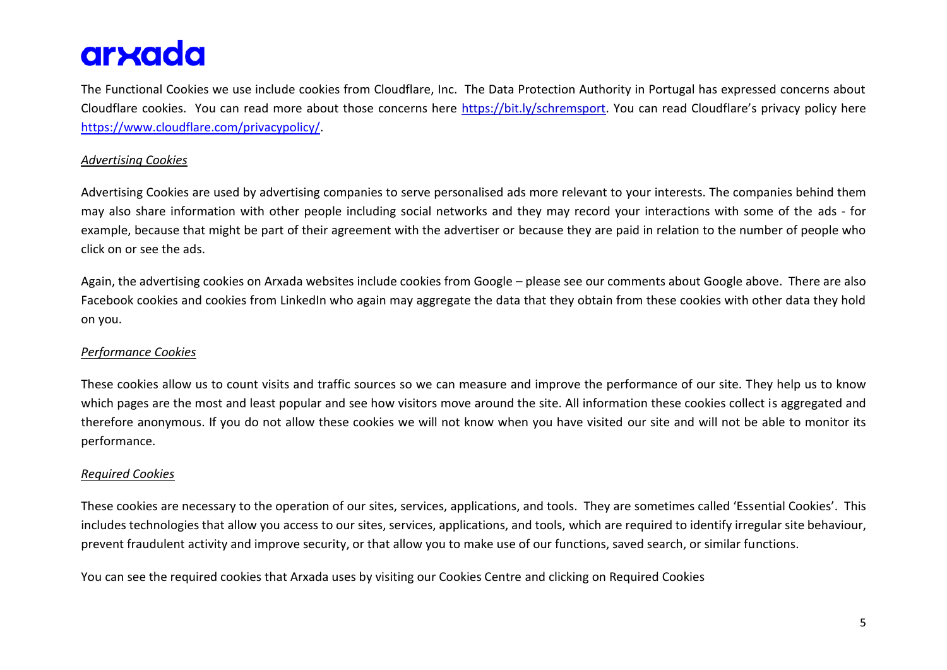The Functional Cookies we use include cookies from Cloudflare, Inc. The Data Protection Authority in Portugal has expressed concerns about Cloudflare cookies. You can read more about those concerns here [https://bit.ly/schremsport.](https://bit.ly/schremsport) You can read Cloudflare's privacy policy here [https://www.cloudflare.com/privacypolicy/.](https://www.cloudflare.com/privacypolicy/)

### *Advertising Cookies*

Advertising Cookies are used by advertising companies to serve personalised ads more relevant to your interests. The companies behind them may also share information with other people including social networks and they may record your interactions with some of the ads - for example, because that might be part of their agreement with the advertiser or because they are paid in relation to the number of people who click on or see the ads.

Again, the advertising cookies on Arxada websites include cookies from Google – please see our comments about Google above. There are also Facebook cookies and cookies from LinkedIn who again may aggregate the data that they obtain from these cookies with other data they hold on you.

## *Performance Cookies*

These cookies allow us to count visits and traffic sources so we can measure and improve the performance of our site. They help us to know which pages are the most and least popular and see how visitors move around the site. All information these cookies collect is aggregated and therefore anonymous. If you do not allow these cookies we will not know when you have visited our site and will not be able to monitor its performance.

#### *Required Cookies*

These cookies are necessary to the operation of our sites, services, applications, and tools. They are sometimes called 'Essential Cookies'. This includes technologies that allow you access to our sites, services, applications, and tools, which are required to identify irregular site behaviour, prevent fraudulent activity and improve security, or that allow you to make use of our functions, saved search, or similar functions.

You can see the required cookies that Arxada uses by visiting our Cookies Centre and clicking on Required Cookies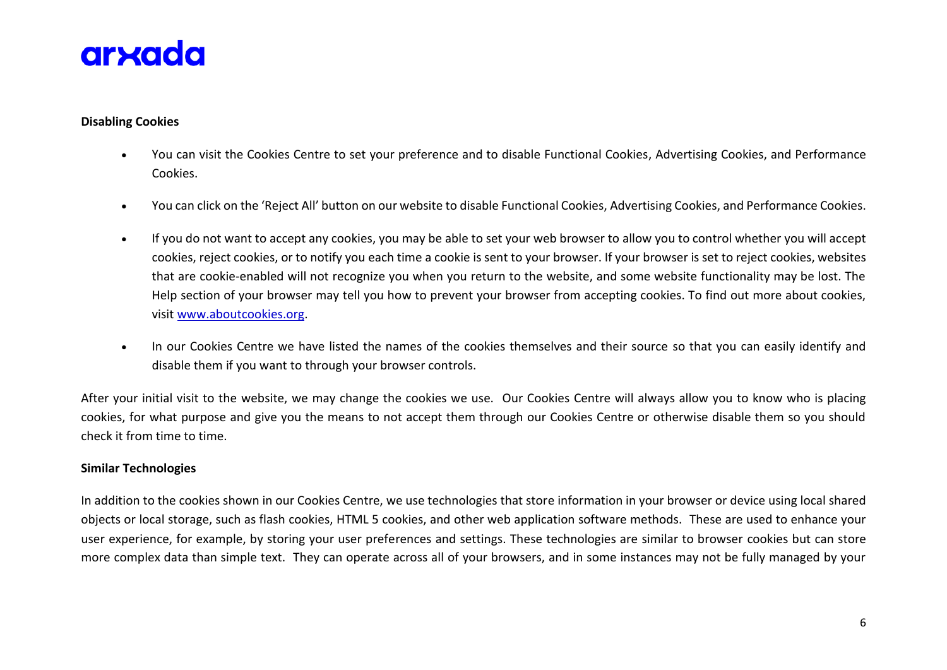

#### **Disabling Cookies**

- You can visit the Cookies Centre to set your preference and to disable Functional Cookies, Advertising Cookies, and Performance Cookies.
- You can click on the 'Reject All' button on our website to disable Functional Cookies, Advertising Cookies, and Performance Cookies.
- If you do not want to accept any cookies, you may be able to set your web browser to allow you to control whether you will accept cookies, reject cookies, or to notify you each time a cookie is sent to your browser. If your browser is set to reject cookies, websites that are cookie-enabled will not recognize you when you return to the website, and some website functionality may be lost. The Help section of your browser may tell you how to prevent your browser from accepting cookies. To find out more about cookies, visit [www.aboutcookies.org.](http://www.aboutcookies.org/)
- In our Cookies Centre we have listed the names of the cookies themselves and their source so that you can easily identify and disable them if you want to through your browser controls.

After your initial visit to the website, we may change the cookies we use. Our Cookies Centre will always allow you to know who is placing cookies, for what purpose and give you the means to not accept them through our Cookies Centre or otherwise disable them so you should check it from time to time.

#### **Similar Technologies**

In addition to the cookies shown in our Cookies Centre, we use technologies that store information in your browser or device using local shared objects or local storage, such as flash cookies, HTML 5 cookies, and other web application software methods. These are used to enhance your user experience, for example, by storing your user preferences and settings. These technologies are similar to browser cookies but can store more complex data than simple text. They can operate across all of your browsers, and in some instances may not be fully managed by your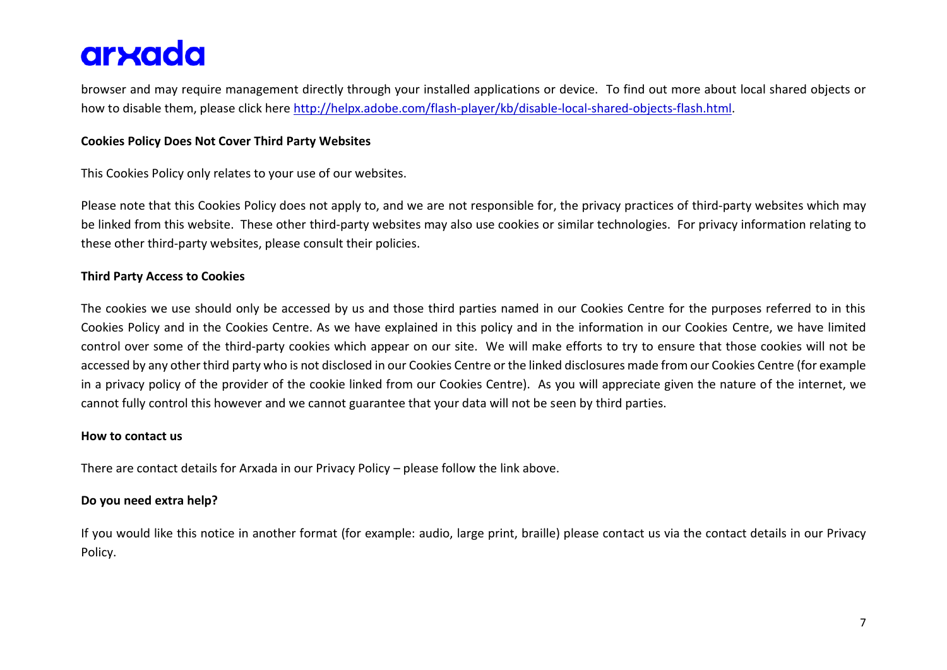browser and may require management directly through your installed applications or device. To find out more about local shared objects or how to disable them, please click here [http://helpx.adobe.com/flash-player/kb/disable-local-shared-objects-flash.html.](http://helpx.adobe.com/flash-player/kb/disable-local-shared-objects-flash.html)

## **Cookies Policy Does Not Cover Third Party Websites**

This Cookies Policy only relates to your use of our websites.

Please note that this Cookies Policy does not apply to, and we are not responsible for, the privacy practices of third-party websites which may be linked from this website. These other third-party websites may also use cookies or similar technologies. For privacy information relating to these other third-party websites, please consult their policies.

# **Third Party Access to Cookies**

The cookies we use should only be accessed by us and those third parties named in our Cookies Centre for the purposes referred to in this Cookies Policy and in the Cookies Centre. As we have explained in this policy and in the information in our Cookies Centre, we have limited control over some of the third-party cookies which appear on our site. We will make efforts to try to ensure that those cookies will not be accessed by any other third party who is not disclosed in our Cookies Centre or the linked disclosures made from our Cookies Centre (for example in a privacy policy of the provider of the cookie linked from our Cookies Centre). As you will appreciate given the nature of the internet, we cannot fully control this however and we cannot guarantee that your data will not be seen by third parties.

#### **How to contact us**

There are contact details for Arxada in our Privacy Policy – please follow the link above.

## **Do you need extra help?**

If you would like this notice in another format (for example: audio, large print, braille) please contact us via the contact details in our Privacy Policy.